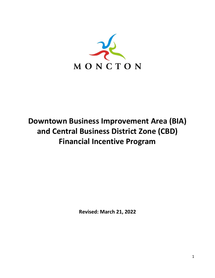

# **Downtown Business Improvement Area (BIA) and Central Business District Zone (CBD) Financial Incentive Program**

**Revised: March 21, 2022**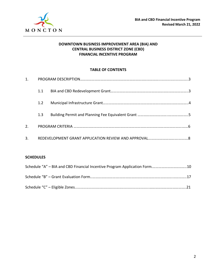

#### **DOWNTOWN BUSINESS IMPROVEMENT AREA (BIA) AND CENTRAL BUSINESS DISTRICT ZONE (CBD) FINANCIAL INCENTIVE PROGRAM**

#### **TABLE OF CONTENTS**

| 1. |     |  |
|----|-----|--|
|    | 1.1 |  |
|    | 1.2 |  |
|    | 1.3 |  |
| 2. |     |  |
| 3. |     |  |

#### **SCHEDULES**

| Schedule "A" – BIA and CBD Financial Incentive Program Application Form10 |  |
|---------------------------------------------------------------------------|--|
|                                                                           |  |
|                                                                           |  |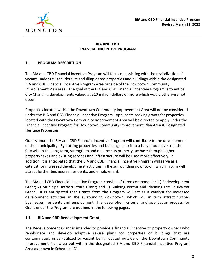

### **BIA AND CBD FINANCIAL INCENTIVE PROGRAM**

#### **1. PROGRAM DESCRIPTION**

The BIA and CBD Financial Incentive Program will focus on assisting with the revitalization of vacant, under-utilized, derelict and dilapidated properties and buildings within the designated BIA and CBD Financial Incentive Program Area outside of the Downtown Community Improvement Plan area. The goal of the BIA and CBD Financial Incentive Program is to entice City Changing developments valued at \$10 million dollars or more which would otherwise not occur.

Properties located within the Downtown Community Improvement Area will not be considered under the BIA and CBD Financial Incentive Program. Applicants seeking grants for properties located with the Downtown Community Improvement Area will be directed to apply under the Financial Incentive Program for Downtown Community Improvement Plan Area & Designated Heritage Properties.

Grants under the BIA and CBD Financial Incentive Program will contribute to the development of the municipality. By putting properties and buildings back into a fully productive use, the City will, in the long term, strengthen and enhance its property tax base through higher property taxes and existing services and infrastructure will be used more effectively. In addition, it is anticipated that the BIA and CBD Financial Incentive Program will serve as a catalyst for increased development activities in the surrounding downtown, which in turn will attract further businesses, residents, and employment.

The BIA and CBD Financial Incentive Program consists of three components: 1) Redevelopment Grant; 2) Municipal Infrastructure Grant; and 3) Building Permit and Planning Fee Equivalent Grant. It is anticipated that Grants from the Program will act as a catalyst for increased development activities in the surrounding downtown, which will in turn attract further businesses, residents and employment. The description, criteria, and application process for Grant under the Program are outlined in the following pages.

#### **1.1 BIA and CBD Redevelopment Grant**

The Redevelopment Grant is intended to provide a financial incentive to property owners who rehabilitate and develop adaptive re-use plans for properties or buildings that are contaminated, under-utilized or vacant being located outside of the Downtown Community Improvement Plan area but within the designated BIA and CBD Financial Incentive Program Area as shown in Schedule "C".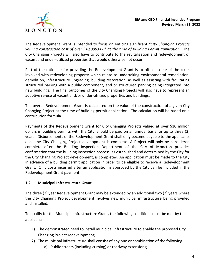The Redevelopment Grant is intended to focus on enticing significant *"City Changing Projects valuing construction cost of over \$10,000,000" at the time of Building Permit application.* The City Changing Projects will also have to contribute to the revitalization and redevelopment of vacant and under-utilized properties that would otherwise not occur.

Part of the rationale for providing the Redevelopment Grant is to off-set some of the costs involved with redeveloping property which relate to undertaking environmental remediation, demolition, infrastructure upgrading, building restoration, as well as assisting with facilitating structured parking with a public component, and or structured parking being integrated into new buildings. The final outcomes of the City Changing Projects will also have to represent an adaptive re-use of vacant and/or under-utilized properties and buildings.

The overall Redevelopment Grant is calculated on the value of the construction of a given City Changing Project at the time of building permit application. The calculation will be based on a contribution formula.

Payments of the Redevelopment Grant for City Changing Projects valued at over \$10 million dollars in building permits with the City, should be paid on an annual basis for up to three (3) years. Disbursements of the Redevelopment Grant shall only become payable to the applicants once the City Changing Project development is complete. A Project will only be considered complete after the Building Inspection Department of the City of Moncton provides confirmation that the building inspection process, as established and determined by the City for the City Changing Project development, is completed. An application must be made to the City in advance of a building permit application in order to be eligible to receive a Redevelopment Grant. Only costs incurred after an application is approved by the City can be included in the Redevelopment Grant payment.

#### **1.2 Municipal Infrastructure Grant**

The three (3) year Redevelopment Grant may be extended by an additional two (2) years where the City Changing Project development involves new municipal infrastructure being provided and installed.

To qualify for the Municipal Infrastructure Grant, the following conditions must be met by the applicant:

- 1) The demonstrated need to install municipal infrastructure to enable the proposed City Changing Project redevelopment;
- 2) The municipal infrastructure shall consist of any one or combination of the following:
	- a) Public streets (including curbing) or roadway extensions;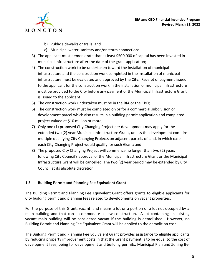

- b) Public sidewalks or trails; and
- c) Municipal water, sanitary and/or storm connections.
- 3) The applicant must demonstrate that at least \$500,000 of capital has been invested in municipal infrastructure after the date of the grant application;
- 4) The construction work to be undertaken toward the installation of municipal infrastructure and the construction work completed in the installation of municipal infrastructure must be evaluated and approved by the City. Receipt of payment issued to the applicant for the construction work in the installation of municipal infrastructure must be provided to the City before any payment of the Municipal Infrastructure Grant is issued to the applicant;
- 5) The construction work undertaken must be in the BIA or the CBD;
- 6) The construction work must be completed on or for a commercial subdivision or development parcel which also results in a building permit application and completed project valued at \$10 million or more;
- 7) Only one (1) proposed City Changing Project per development may apply for the extended two (2) year Municipal Infrastructure Grant, unless the development contains multiple qualifying City Changing Projects on adjacent parcels of land, in which case each City Changing Project would qualify for such Grant; and
- 8) The proposed City Changing Project will commence no longer than two (2) years following City Council's approval of the Municipal Infrastructure Grant or the Municipal Infrastructure Grant will be cancelled. The two (2) year period may be extended by City Council at its absolute discretion.

#### **1.3 Building Permit and Planning Fee Equivalent Grant**

The Building Permit and Planning Fee Equivalent Grant offers grants to eligible applicants for City building permit and planning fees related to developments on vacant properties.

For the purpose of this Grant, vacant land means a lot or a portion of a lot not occupied by a main building and that can accommodate a new construction. A lot containing an existing vacant main building will be considered vacant if the building is demolished. However, no Building Permit and Planning Fee Equivalent Grant will be applied to the demolition cost.

The Building Permit and Planning Fee Equivalent Grant provides assistance to eligible applicants by reducing property improvement costs in that the Grant payment is to be equal to the cost of development fees, being for development and building permits, Municipal Plan and Zoning By-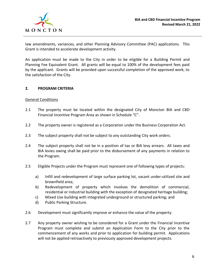

law amendments, variances, and other Planning Advisory Committee (PAC) applications. This Grant is intended to accelerate development activity.

An application must be made to the City in order to be eligible for a Building Permit and Planning Fee Equivalent Grant. All grants will be equal to 100% of the development fees paid by the applicant. Grants will be provided upon successful completion of the approved work, to the satisfaction of the City.

#### **2. PROGRAM CRITERIA**

#### General Conditions

- 2.1 The property must be located within the designated City of Moncton BIA and CBD Financial Incentive Program Area as shown in Schedule "C".
- 2.2 The property owner is registered as a Corporation under the Business Corporation Act.
- 2.3 The subject property shall not be subject to any outstanding City work orders.
- 2.4 The subject property shall not be in a position of tax or BIA levy arrears. All taxes and BIA levies owing shall be paid prior to the disbursement of any payments in relation to the Program.
- 2.5 Eligible Projects under the Program must represent one of following types of projects:
	- a) Infill and redevelopment of large surface parking lot, vacant under-utilized site and brownfield area;
	- b) Redevelopment of property which involves the demolition of commercial, residential or industrial building with the exception of designated heritage building;
	- c) Mixed Use building with integrated underground or structured parking; and
	- d) Public Parking Structure.
- 2.6 Development must significantly improve or enhance the value of the property.
- 2.7 Any property owner wishing to be considered for a Grant under the Financial Incentive Program must complete and submit an Application Form to the City prior to the commencement of any works and prior to application for building permit. Applications will not be applied retroactively to previously approved development projects.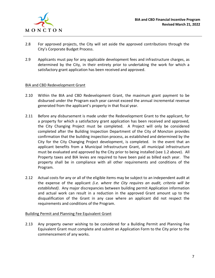

- 2.8 For approved projects, the City will set aside the approved contributions through the City's Corporate Budget Process.
- 2.9 Applicants must pay for any applicable development fees and infrastructure charges, as determined by the City, in their entirety prior to undertaking the work for which a satisfactory grant application has been received and approved.

#### BIA and CBD Redevelopment Grant

- 2.10 Within the BIA and CBD Redevelopment Grant, the maximum grant payment to be disbursed under the Program each year cannot exceed the annual incremental revenue generated from the applicant's property in that fiscal year.
- 2.11 Before any disbursement is made under the Redevelopment Grant to the applicant, for a property for which a satisfactory grant application has been received and approved, the City Changing Project must be completed. A Project will only be considered completed after the Building Inspection Department of the City of Moncton provides confirmation that the building inspection process, as established and determined by the City for the City Changing Project development, is completed. In the event that an applicant benefits from a Municipal Infrastructure Grant, all municipal infrastructure must be evaluated and approved by the City prior to being installed (see 1.2 above). All Property taxes and BIA levies are required to have been paid as billed each year. The property shall be in compliance with all other requirements and conditions of the Program.
- 2.12 Actual costs for any or all of the eligible items may be subject to an independent audit at the expense of the applicant *(i.e. where the City requires an audit, criteria will be established)*. Any major discrepancies between building permit Application information and actual work can result in a reduction in the approved Grant amount up to the disqualification of the Grant in any case where an applicant did not respect the requirements and conditions of the Program.

#### Building Permit and Planning Fee Equivalent Grant

2.13 Any property owner wishing to be considered for a Building Permit and Planning Fee Equivalent Grant must complete and submit an Application Form to the City prior to the commencement of any works.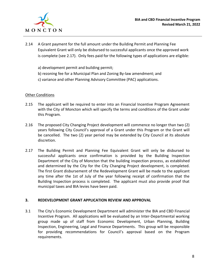

- 2.14 A Grant payment for the full amount under the Building Permit and Planning Fee Equivalent Grant will only be disbursed to successful applicants once the approved work is complete (see 2.17). Only fees paid for the following types of applications are eligible:
	- a) development permit and building permit;
	- b) rezoning fee for a Municipal Plan and Zoning By-law amendment; and
	- c) variance and other Planning Advisory Committee (PAC) applications.

#### **Other Conditions**

- 2.15 The applicant will be required to enter into an Financial Incentive Program Agreement with the City of Moncton which will specify the terms and conditions of the Grant under this Program.
- 2.16 The proposed City Changing Project development will commence no longer than two (2) years following City Council's approval of a Grant under this Program or the Grant will be cancelled. The two (2) year period may be extended by City Council at its absolute discretion.
- 2.17 The Building Permit and Planning Fee Equivalent Grant will only be disbursed to successful applicants once confirmation is provided by the Building Inspection Department of the City of Moncton that the building inspection process, as established and determined by the City for the City Changing Project development, is completed. The first Grant disbursement of the Redevelopment Grant will be made to the applicant any time after the 1st of July of the year following receipt of confirmation that the Building Inspection process is completed. The applicant must also provide proof that municipal taxes and BIA levies have been paid.

#### **3. REDEVELOPMENT GRANT APPLICATION REVIEW AND APPROVAL**

3.1 The City's Economic Development Department will administer the BIA and CBD Financial Incentive Program. All applications will be evaluated by an Inter-Departmental working group made up of staff from Economic Development, Urban Planning, Building Inspection, Engineering, Legal and Finance Departments. This group will be responsible for providing recommendations for Council's approval based on the Program requirements.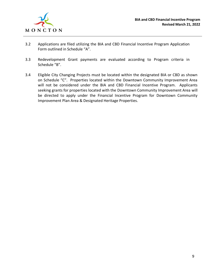

- 3.2 Applications are filed utilizing the BIA and CBD Financial Incentive Program Application Form outlined in Schedule "A".
- 3.3 Redevelopment Grant payments are evaluated according to Program criteria in Schedule "B".
- 3.4 Eligible City Changing Projects must be located within the designated BIA or CBD as shown on Schedule "C". Properties located within the Downtown Community Improvement Area will not be considered under the BIA and CBD Financial Incentive Program. Applicants seeking grants for properties located with the Downtown Community Improvement Area will be directed to apply under the Financial Incentive Program for Downtown Community Improvement Plan Area & Designated Heritage Properties.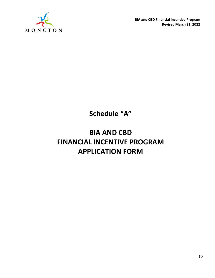

**Schedule "A"**

# **BIA AND CBD FINANCIAL INCENTIVE PROGRAM APPLICATION FORM**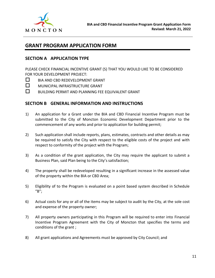

# **GRANT PROGRAM APPLICATION FORM**

## **SECTION A APPLICATION TYPE**

PLEASE CHECK FINANCIAL INCENTIVE GRANT (S) THAT YOU WOULD LIKE TO BE CONSIDERED FOR YOUR DEVELOPMENT PROJECT:

- $\Box$  BIA AND CBD REDEVELOPMENT GRANT
- $\Box$  MUNICIPAL INFRASTRUCTURE GRANT
- $\square$  BUILDING PERMIT AND PLANNING FEE EQUIVALENT GRANT

### **SECTION B GENERAL INFORMATION AND INSTRUCTIONS**

- 1) An application for a Grant under the BIA and CBD Financial Incentive Program must be submitted to the City of Moncton Economic Development Department prior to the commencement of any works and prior to application for building permit;
- 2) Such application shall include reports, plans, estimates, contracts and other details as may be required to satisfy the City with respect to the eligible costs of the project and with respect to conformity of the project with the Program;
- 3) As a condition of the grant application, the City may require the applicant to submit a Business Plan, said Plan being to the City's satisfaction;
- 4) The property shall be redeveloped resulting in a significant increase in the assessed value of the property within the BIA or CBD Area;
- 5) Eligibility of to the Program is evaluated on a point based system described in Schedule "B";
- 6) Actual costs for any or all of the items may be subject to audit by the City, at the sole cost and expense of the property owner;
- 7) All property owners participating in this Program will be required to enter into Financial Incentive Program Agreement with the City of Moncton that specifies the terms and conditions of the grant ;
- 8) All grant applications and Agreements must be approved by City Council; and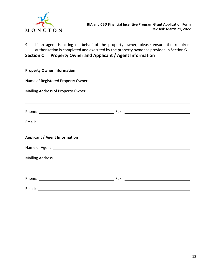

9) If an agent is acting on behalf of the property owner, please ensure the required authorization is completed and executed by the property owner as provided in Section G.

### **Section C Property Owner and Applicant / Agent Information**

| <b>Property Owner Information</b>                                                                                                                                                                                              |  |  |  |  |
|--------------------------------------------------------------------------------------------------------------------------------------------------------------------------------------------------------------------------------|--|--|--|--|
|                                                                                                                                                                                                                                |  |  |  |  |
|                                                                                                                                                                                                                                |  |  |  |  |
| ,我们也不会有什么?""我们的人,我们也不会有什么?""我们的人,我们也不会有什么?""我们的人,我们也不会有什么?""我们的人,我们也不会有什么?""我们的人                                                                                                                                               |  |  |  |  |
|                                                                                                                                                                                                                                |  |  |  |  |
|                                                                                                                                                                                                                                |  |  |  |  |
| <b>Applicant / Agent Information</b>                                                                                                                                                                                           |  |  |  |  |
| Name of Agent 2008 and 2008 and 2008 and 2008 and 2008 and 2008 and 2008 and 2008 and 2008 and 2008 and 2008 and 2008 and 2008 and 2008 and 2008 and 2008 and 2008 and 2008 and 2008 and 2008 and 2008 and 2008 and 2008 and 2 |  |  |  |  |
|                                                                                                                                                                                                                                |  |  |  |  |
| ,我们也不会有什么。""我们的人,我们也不会有什么?""我们的人,我们也不会有什么?""我们的人,我们也不会有什么?""我们的人,我们也不会有什么?""我们的人                                                                                                                                               |  |  |  |  |
|                                                                                                                                                                                                                                |  |  |  |  |
|                                                                                                                                                                                                                                |  |  |  |  |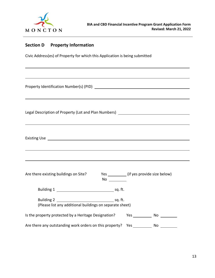

# **Section D Property Information**

Civic Address(es) of Property for which this Application is being submitted

Property Identification Number(s) (PID)

| Legal Description of Property (Lot and Plan Numbers) |  |
|------------------------------------------------------|--|
|                                                      |  |

Existing Use

| Are there existing buildings on Site?                                         | No      | Yes (if yes provide size below) |     |
|-------------------------------------------------------------------------------|---------|---------------------------------|-----|
|                                                                               | sq. ft. |                                 |     |
| <b>Building 2</b><br>(Please list any additional buildings on separate sheet) | sq. ft. |                                 |     |
| Is the property protected by a Heritage Designation?                          |         | Yes                             | No. |
| Are there any outstanding work orders on this property?                       |         | - Yes                           | No. |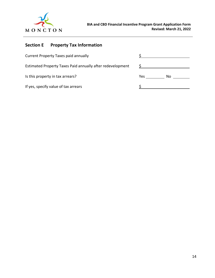

# **Section E Property Tax Information**

| <b>Current Property Taxes paid annually</b>                |             |
|------------------------------------------------------------|-------------|
| Estimated Property Taxes Paid annually after redevelopment |             |
| Is this property in tax arrears?                           | Yes.<br>No. |
| If yes, specify value of tax arrears                       |             |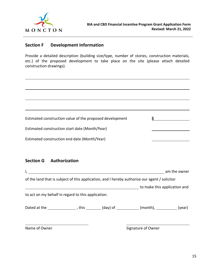

## **Section F Development Information**

Provide a detailed description (building size/type, number of stories, construction materials, etc.) of the proposed development to take place on the site (please attach detailed construction drawings).

| Estimated construction value of the proposed development |  |
|----------------------------------------------------------|--|
| Estimated construction start date (Month/Year)           |  |
| Estimated construction end date (Month/Year)             |  |

### **Section G Authorization**

|                                                    |  |                                                                                                  | am the owner |
|----------------------------------------------------|--|--------------------------------------------------------------------------------------------------|--------------|
|                                                    |  | of the land that is subject of this application, and I hereby authorize our agent / solicitor    |              |
|                                                    |  | to make this application and                                                                     |              |
| to act on my behalf in regard to this application. |  |                                                                                                  |              |
|                                                    |  | Dated at the $\_\_\_\_\_\_$ , this $\_\_\_\_$ (day) of $\_\_\_\_\_$ (month), $\_\_\_\_\_$ (year) |              |
| Name of Owner                                      |  | Signature of Owner                                                                               |              |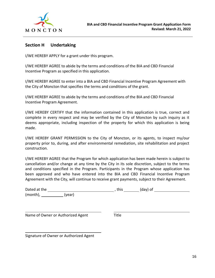

## **Section H Undertaking**

I/WE HEREBY APPLY for a grant under this program.

I/WE HEREBY AGREE to abide by the terms and conditions of the BIA and CBD Financial Incentive Program as specified in this application.

I/WE HEREBY AGREE to enter into a BIA and CBD Financial Incentive Program Agreement with the City of Moncton that specifies the terms and conditions of the grant.

I/WE HEREBY AGREE to abide by the terms and conditions of the BIA and CBD Financial Incentive Program Agreement.

I/WE HEREBY CERTIFY that the information contained in this application is true, correct and complete in every respect and may be verified by the City of Moncton by such inquiry as it deems appropriate, including inspection of the property for which this application is being made.

I/WE HEREBY GRANT PERMISSION to the City of Moncton, or its agents, to inspect my/our property prior to, during, and after environmental remediation, site rehabilitation and project construction.

I/WE HEREBY AGREE that the Program for which application has been made herein is subject to cancellation and/or change at any time by the City in its sole discretion, subject to the terms and conditions specified in the Program. Participants in the Program whose application has been approved and who have entered into the BIA and CBD Financial Incentive Program Agreement with the City, will continue to receive grant payments, subject to their Agreement.

| Dated at the |        | this | (day) of |  |
|--------------|--------|------|----------|--|
| (month),     | (vear) |      |          |  |

Name of Owner or Authorized Agent Title

Signature of Owner or Authorized Agent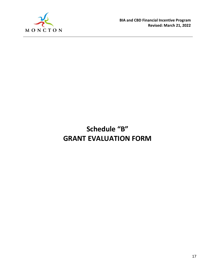

# **Schedule "B" GRANT EVALUATION FORM**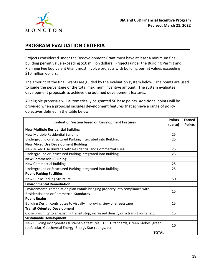

## **PROGRAM EVALUATION CRITERIA**

Projects considered under the Redevelopment Grant must have at least a minimum final building permit value exceeding \$10 million dollars. Projects under the Building Permit and Planning Fee Equivalent Grant must involve projects with building permit values exceeding \$10 million dollars.

The amount of the final Grants are guided by the evaluation system below. The points are used to guide the percentage of the total maximum incentive amount. The system evaluates development proposals to achieve the outlined development features.

All eligible proposals will automatically be granted 50 base points. Additional points will be provided when a proposal includes development features that achieve a range of policy objectives defined in the table below.

| <b>Evaluation System based on Development Features</b>                                                                                                  | <b>Points</b> | Earned        |  |  |
|---------------------------------------------------------------------------------------------------------------------------------------------------------|---------------|---------------|--|--|
|                                                                                                                                                         | (up to)       | <b>Points</b> |  |  |
| <b>New Multiple Residential Building</b>                                                                                                                |               |               |  |  |
| New Multiple Residential Building                                                                                                                       | 25            |               |  |  |
| Underground or Structured Parking integrated into Building                                                                                              | 25            |               |  |  |
| <b>New Mixed Use Development Building</b>                                                                                                               |               |               |  |  |
| New Mixed Use Building with Residential and Commercial Uses                                                                                             | 25            |               |  |  |
| Underground or Structured Parking integrated into Building                                                                                              | 25            |               |  |  |
| <b>New Commercial Building</b>                                                                                                                          |               |               |  |  |
| <b>New Commercial Building</b>                                                                                                                          | 25            |               |  |  |
| Underground or Structured Parking integrated into Building                                                                                              | 25            |               |  |  |
| <b>Public Parking Facilities</b>                                                                                                                        |               |               |  |  |
| New Public Parking Structure                                                                                                                            | 50            |               |  |  |
| <b>Environmental Remediation</b>                                                                                                                        |               |               |  |  |
| Environmental remediation plan entails bringing property into compliance with                                                                           | 15            |               |  |  |
| <b>Residential and or Commercial Standards</b>                                                                                                          |               |               |  |  |
| <b>Public Realm</b>                                                                                                                                     |               |               |  |  |
| Building Design contributes to visually improving view of streetscape                                                                                   | 15            |               |  |  |
| <b>Transit Oriented Development</b>                                                                                                                     |               |               |  |  |
| Close proximity to an existing transit stop, increased density on a transit route, etc.                                                                 | 15            |               |  |  |
| <b>Sustainable Development</b>                                                                                                                          |               |               |  |  |
| New Building incorporates sustainable features - LEED Standards, Green Globes, green<br>10<br>roof, solar, Geothermal Energy, Energy Star ratings, etc. |               |               |  |  |
|                                                                                                                                                         |               |               |  |  |
| <b>TOTAL</b>                                                                                                                                            |               |               |  |  |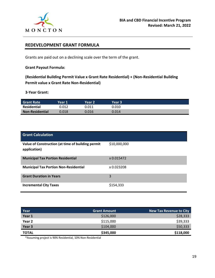

## **REDEVELOPMENT GRANT FORMULA**

Grants are paid out on a declining scale over the term of the grant.

**Grant Payout Formula:**

**(Residential Building Permit Value x Grant Rate Residential) + (Non-Residential Building Permit value x Grant Rate Non-Residential)**

**3-Year Grant:**

| <b>Grant Rate</b>      | Year 1 | Year 2 | Year 3 |  |
|------------------------|--------|--------|--------|--|
| Residential            | 0.012  | 0.011  | 0.010  |  |
| <b>Non-Residential</b> | 0.018  | 0.016  | 0.014  |  |

| <b>Grant Calculation</b>                                          |              |
|-------------------------------------------------------------------|--------------|
| Value of Construction (at time of building permit<br>application) | \$10,000,000 |
| <b>Municipal Tax Portion Residential</b>                          | x 0.015472   |
| <b>Municipal Tax Portion Non-Residential</b>                      | x 0.023208   |
| <b>Grant Duration in Years</b>                                    | 3            |
| <b>Incremental City Taxes</b>                                     | \$154,333    |

| Year         | <b>Grant Amount</b> | <b>New Tax Revenue to City</b> |
|--------------|---------------------|--------------------------------|
| Year 1       | \$126,000           | \$28,333                       |
| Year 2       | \$115,000           | \$39,333                       |
| Year 3       | \$104,000           | \$50,333                       |
| <b>TOTAL</b> | \$345,000           | \$118,000                      |

\*Assuming project is 90% Residential, 10% Non-Residential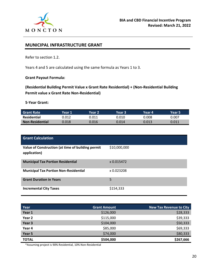

## **MUNICIPAL INFRASTRUCTURE GRANT**

Refer to section 1.2.

Years 4 and 5 are calculated using the same formula as Years 1 to 3.

#### **Grant Payout Formula:**

**(Residential Building Permit Value x Grant Rate Residential) + (Non-Residential Building Permit value x Grant Rate Non-Residential)**

**5-Year Grant:**

| <b>Grant Rate</b>      | Year 1' | Year 2' | Year 3 | Year 4' | Year 5' |
|------------------------|---------|---------|--------|---------|---------|
| Residential            | 0.012   | 0.011   | 0.010  | 0.008   | 0.007   |
| <b>Non-Residential</b> | 0.018   | 0.016   | 0.014  | 0.013   | 0.011   |

| <b>Grant Calculation</b>                                          |              |
|-------------------------------------------------------------------|--------------|
| Value of Construction (at time of building permit<br>application) | \$10,000,000 |
| <b>Municipal Tax Portion Residential</b>                          | x 0.015472   |
| <b>Municipal Tax Portion Non-Residential</b>                      | x 0.023208   |
| <b>Grant Duration in Years</b>                                    | 5            |
| <b>Incremental City Taxes</b>                                     | \$154,333    |

| Year         | <b>Grant Amount</b> | <b>New Tax Revenue to City</b> |
|--------------|---------------------|--------------------------------|
| Year 1       | \$126,000           | \$28,333                       |
| Year 2       | \$115,000           | \$39,333                       |
| Year 3       | \$104,000           | \$50,333                       |
| Year 4       | \$85,000            | \$69,333                       |
| Year 5       | \$74,000            | \$80,333                       |
| <b>TOTAL</b> | \$504,000           | \$267,666                      |

\*Assuming project is 90% Residential, 10% Non-Residential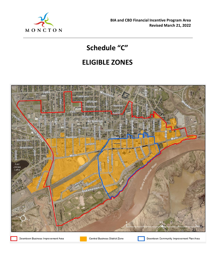

# **Schedule "C"**

# **ELIGIBLE ZONES**



Downtown Business Improvement Area

Central Business District Zone

Downtown Community Improvement Plan Area